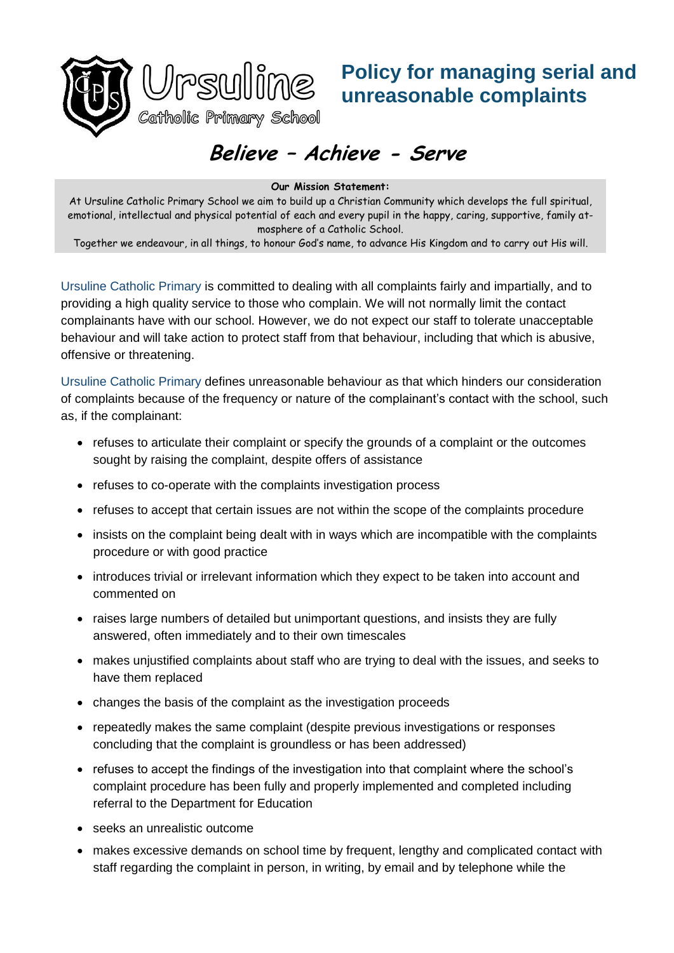



## **Policy for managing serial and unreasonable complaints**

## **Believe – Achieve - Serve**

**Our Mission Statement:**

At Ursuline Catholic Primary School we aim to build up a Christian Community which develops the full spiritual, emotional, intellectual and physical potential of each and every pupil in the happy, caring, supportive, family atmosphere of a Catholic School.

Together we endeavour, in all things, to honour God's name, to advance His Kingdom and to carry out His will.

Ursuline Catholic Primary is committed to dealing with all complaints fairly and impartially, and to providing a high quality service to those who complain. We will not normally limit the contact complainants have with our school. However, we do not expect our staff to tolerate unacceptable behaviour and will take action to protect staff from that behaviour, including that which is abusive, offensive or threatening.

Ursuline Catholic Primary defines unreasonable behaviour as that which hinders our consideration of complaints because of the frequency or nature of the complainant's contact with the school, such as, if the complainant:

- refuses to articulate their complaint or specify the grounds of a complaint or the outcomes sought by raising the complaint, despite offers of assistance
- refuses to co-operate with the complaints investigation process
- refuses to accept that certain issues are not within the scope of the complaints procedure
- insists on the complaint being dealt with in ways which are incompatible with the complaints procedure or with good practice
- introduces trivial or irrelevant information which they expect to be taken into account and commented on
- raises large numbers of detailed but unimportant questions, and insists they are fully answered, often immediately and to their own timescales
- makes unjustified complaints about staff who are trying to deal with the issues, and seeks to have them replaced
- changes the basis of the complaint as the investigation proceeds
- repeatedly makes the same complaint (despite previous investigations or responses concluding that the complaint is groundless or has been addressed)
- refuses to accept the findings of the investigation into that complaint where the school's complaint procedure has been fully and properly implemented and completed including referral to the Department for Education
- seeks an unrealistic outcome
- makes excessive demands on school time by frequent, lengthy and complicated contact with staff regarding the complaint in person, in writing, by email and by telephone while the